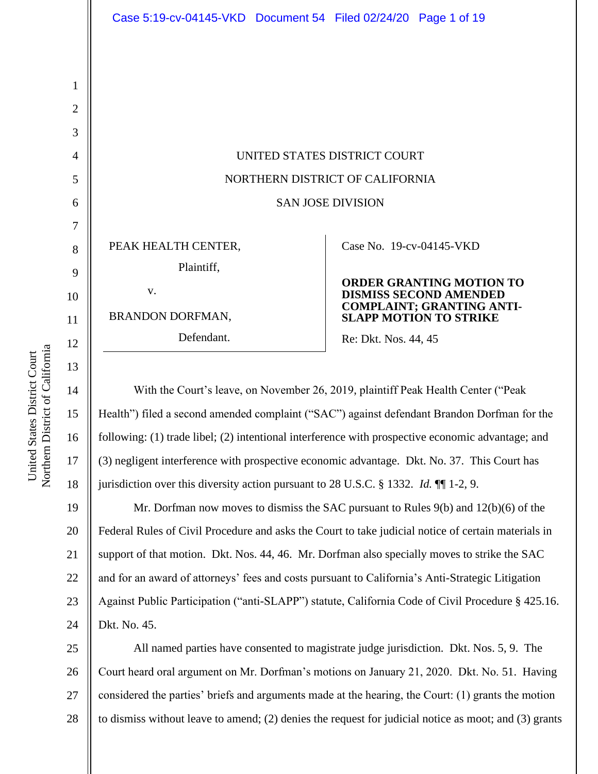| Case 5:19-cv-04145-VKD  Document 54  Filed 02/24/20  Page 1 of 19 |                                                                   |
|-------------------------------------------------------------------|-------------------------------------------------------------------|
|                                                                   |                                                                   |
|                                                                   |                                                                   |
|                                                                   |                                                                   |
|                                                                   |                                                                   |
| UNITED STATES DISTRICT COURT                                      |                                                                   |
| NORTHERN DISTRICT OF CALIFORNIA                                   |                                                                   |
| <b>SAN JOSE DIVISION</b>                                          |                                                                   |
|                                                                   |                                                                   |
| PEAK HEALTH CENTER,                                               | Case No. 19-cv-04145-VKD                                          |
| Plaintiff,                                                        |                                                                   |
| V.                                                                | <b>ORDER GRANTING MOTION TO</b><br><b>DISMISS SECOND AMENDED</b>  |
| <b>BRANDON DORFMAN,</b>                                           | <b>COMPLAINT; GRANTING ANTI-</b><br><b>SLAPP MOTION TO STRIKE</b> |
| Defendant.                                                        | Re: Dkt. Nos. 44, 45                                              |
|                                                                   |                                                                   |

With the Court's leave, on November 26, 2019, plaintiff Peak Health Center ("Peak Health") filed a second amended complaint ("SAC") against defendant Brandon Dorfman for the following: (1) trade libel; (2) intentional interference with prospective economic advantage; and (3) negligent interference with prospective economic advantage. Dkt. No. 37. This Court has jurisdiction over this diversity action pursuant to 28 U.S.C. § 1332. *Id.* ¶¶ 1-2, 9.

19 20 21 22 23 24 Mr. Dorfman now moves to dismiss the SAC pursuant to Rules 9(b) and 12(b)(6) of the Federal Rules of Civil Procedure and asks the Court to take judicial notice of certain materials in support of that motion. Dkt. Nos. 44, 46. Mr. Dorfman also specially moves to strike the SAC and for an award of attorneys' fees and costs pursuant to California's Anti-Strategic Litigation Against Public Participation ("anti-SLAPP") statute, California Code of Civil Procedure § 425.16. Dkt. No. 45.

25 26 27 28 All named parties have consented to magistrate judge jurisdiction. Dkt. Nos. 5, 9. The Court heard oral argument on Mr. Dorfman's motions on January 21, 2020. Dkt. No. 51. Having considered the parties' briefs and arguments made at the hearing, the Court: (1) grants the motion to dismiss without leave to amend; (2) denies the request for judicial notice as moot; and (3) grants

1

2

3

4

5

6

7

8

9

10

11

12

13

14

15

16

17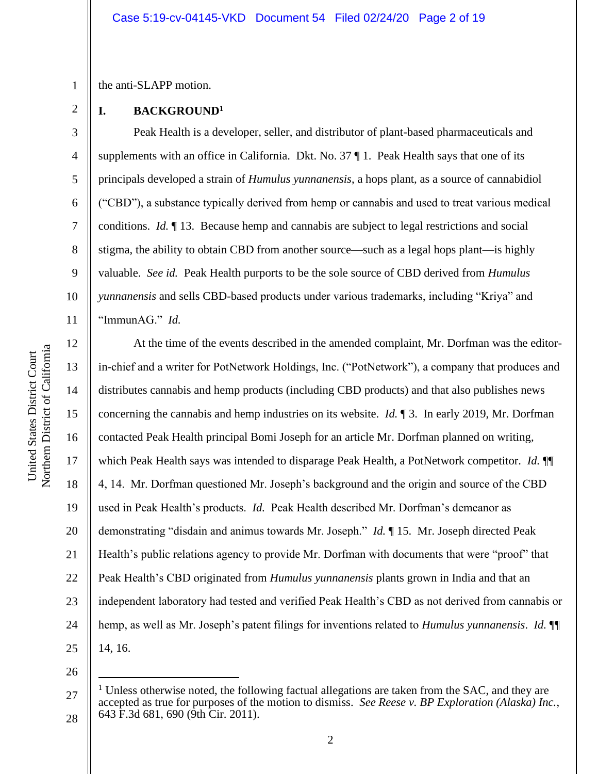the anti-SLAPP motion.

1

2

3

4

5

6

7

8

9

10

### **I. BACKGROUND<sup>1</sup>**

Peak Health is a developer, seller, and distributor of plant-based pharmaceuticals and supplements with an office in California. Dkt. No. 37 ¶ 1. Peak Health says that one of its principals developed a strain of *Humulus yunnanensis*, a hops plant, as a source of cannabidiol ("CBD"), a substance typically derived from hemp or cannabis and used to treat various medical conditions. *Id.* ¶ 13. Because hemp and cannabis are subject to legal restrictions and social stigma, the ability to obtain CBD from another source—such as a legal hops plant—is highly valuable. *See id.* Peak Health purports to be the sole source of CBD derived from *Humulus yunnanensis* and sells CBD-based products under various trademarks, including "Kriya" and "ImmunAG." *Id.*

Northern District of California Northern District of California United States District Court United States District Court

11 12 13 14 15 16 17 18 19 20 21 22 23 24 25 At the time of the events described in the amended complaint, Mr. Dorfman was the editorin-chief and a writer for PotNetwork Holdings, Inc. ("PotNetwork"), a company that produces and distributes cannabis and hemp products (including CBD products) and that also publishes news concerning the cannabis and hemp industries on its website. *Id.* ¶ 3. In early 2019, Mr. Dorfman contacted Peak Health principal Bomi Joseph for an article Mr. Dorfman planned on writing, which Peak Health says was intended to disparage Peak Health, a PotNetwork competitor. *Id.* ¶¶ 4, 14. Mr. Dorfman questioned Mr. Joseph's background and the origin and source of the CBD used in Peak Health's products. *Id.* Peak Health described Mr. Dorfman's demeanor as demonstrating "disdain and animus towards Mr. Joseph." *Id.* ¶ 15. Mr. Joseph directed Peak Health's public relations agency to provide Mr. Dorfman with documents that were "proof" that Peak Health's CBD originated from *Humulus yunnanensis* plants grown in India and that an independent laboratory had tested and verified Peak Health's CBD as not derived from cannabis or hemp, as well as Mr. Joseph's patent filings for inventions related to *Humulus yunnanensis*. *Id.* ¶¶ 14, 16.

<sup>27</sup> 28  $1$  Unless otherwise noted, the following factual allegations are taken from the SAC, and they are accepted as true for purposes of the motion to dismiss. *See Reese v. BP Exploration (Alaska) Inc.*, 643 F.3d 681, 690 (9th Cir. 2011).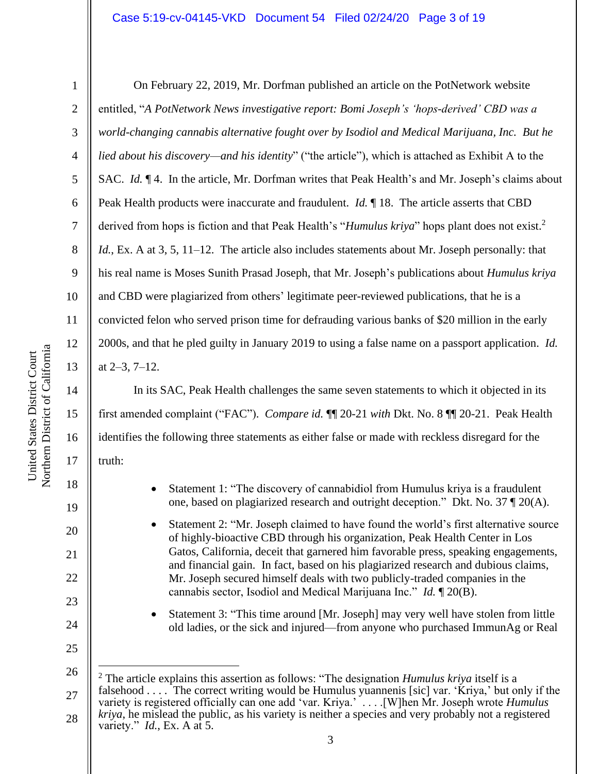### Case 5:19-cv-04145-VKD Document 54 Filed 02/24/20 Page 3 of 19

1

2

3

4

5

6

7

8

9

10

11

12

13

14

15

16

17

18

19

20

21

22

23

24

25

On February 22, 2019, Mr. Dorfman published an article on the PotNetwork website entitled, "*A PotNetwork News investigative report: Bomi Joseph's 'hops-derived' CBD was a world-changing cannabis alternative fought over by Isodiol and Medical Marijuana, Inc. But he lied about his discovery—and his identity*" ("the article"), which is attached as Exhibit A to the SAC. *Id.* ¶ 4. In the article, Mr. Dorfman writes that Peak Health's and Mr. Joseph's claims about Peak Health products were inaccurate and fraudulent. *Id.* ¶ 18. The article asserts that CBD derived from hops is fiction and that Peak Health's "*Humulus kriya*" hops plant does not exist.<sup>2</sup> *Id.*, Ex. A at 3, 5, 11–12. The article also includes statements about Mr. Joseph personally: that his real name is Moses Sunith Prasad Joseph, that Mr. Joseph's publications about *Humulus kriya* and CBD were plagiarized from others' legitimate peer-reviewed publications, that he is a convicted felon who served prison time for defrauding various banks of \$20 million in the early 2000s, and that he pled guilty in January 2019 to using a false name on a passport application. *Id.* at 2–3, 7–12.

In its SAC, Peak Health challenges the same seven statements to which it objected in its first amended complaint ("FAC"). *Compare id.* ¶¶ 20-21 *with* Dkt. No. 8 ¶¶ 20-21. Peak Health identifies the following three statements as either false or made with reckless disregard for the truth:

- Statement 1: "The discovery of cannabidiol from Humulus kriya is a fraudulent one, based on plagiarized research and outright deception." Dkt. No. 37 ¶ 20(A).
- Statement 2: "Mr. Joseph claimed to have found the world's first alternative source of highly-bioactive CBD through his organization, Peak Health Center in Los Gatos, California, deceit that garnered him favorable press, speaking engagements, and financial gain. In fact, based on his plagiarized research and dubious claims, Mr. Joseph secured himself deals with two publicly-traded companies in the cannabis sector, Isodiol and Medical Marijuana Inc." *Id.* ¶ 20(B).
- Statement 3: "This time around [Mr. Joseph] may very well have stolen from little old ladies, or the sick and injured—from anyone who purchased ImmunAg or Real

<sup>26</sup>

<sup>27</sup> 28 <sup>2</sup> The article explains this assertion as follows: "The designation *Humulus kriya* itself is a falsehood  $\ldots$ . The correct writing would be Humulus yuannenis [sic] var. 'Kriya,' but only if the variety is registered officially can one add 'var. Kriya.' . . . .[W]hen Mr. Joseph wrote *Humulus kriya*, he mislead the public, as his variety is neither a species and very probably not a registered variety." *Id.*, Ex. A at 5.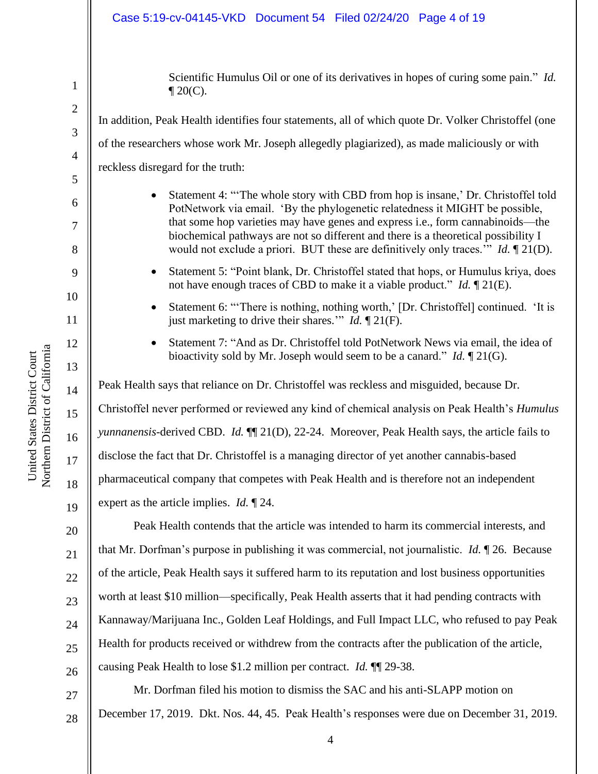### Case 5:19-cv-04145-VKD Document 54 Filed 02/24/20 Page 4 of 19

Scientific Humulus Oil or one of its derivatives in hopes of curing some pain." *Id.*  $\P$  20(C).

In addition, Peak Health identifies four statements, all of which quote Dr. Volker Christoffel (one of the researchers whose work Mr. Joseph allegedly plagiarized), as made maliciously or with reckless disregard for the truth:

- Statement 4: "'The whole story with CBD from hop is insane,' Dr. Christoffel told PotNetwork via email. 'By the phylogenetic relatedness it MIGHT be possible, that some hop varieties may have genes and express i.e., form cannabinoids—the biochemical pathways are not so different and there is a theoretical possibility I would not exclude a priori. BUT these are definitively only traces.'" *Id.* ¶ 21(D).
- Statement 5: "Point blank, Dr. Christoffel stated that hops, or Humulus kriya, does not have enough traces of CBD to make it a viable product." *Id.* ¶ 21(E).
- Statement 6: "There is nothing, nothing worth,' [Dr. Christoffel] continued. 'It is just marketing to drive their shares.'" *Id.* ¶ 21(F).
- Statement 7: "And as Dr. Christoffel told PotNetwork News via email, the idea of bioactivity sold by Mr. Joseph would seem to be a canard." *Id.* ¶ 21(G).

Peak Health says that reliance on Dr. Christoffel was reckless and misguided, because Dr. Christoffel never performed or reviewed any kind of chemical analysis on Peak Health's *Humulus yunnanensis*-derived CBD. *Id.* ¶¶ 21(D), 22-24. Moreover, Peak Health says, the article fails to disclose the fact that Dr. Christoffel is a managing director of yet another cannabis-based pharmaceutical company that competes with Peak Health and is therefore not an independent expert as the article implies. *Id.* ¶ 24.

Peak Health contends that the article was intended to harm its commercial interests, and that Mr. Dorfman's purpose in publishing it was commercial, not journalistic. *Id.* ¶ 26. Because of the article, Peak Health says it suffered harm to its reputation and lost business opportunities worth at least \$10 million—specifically, Peak Health asserts that it had pending contracts with Kannaway/Marijuana Inc., Golden Leaf Holdings, and Full Impact LLC, who refused to pay Peak Health for products received or withdrew from the contracts after the publication of the article, causing Peak Health to lose \$1.2 million per contract. *Id.* ¶¶ 29-38.

Mr. Dorfman filed his motion to dismiss the SAC and his anti-SLAPP motion on December 17, 2019. Dkt. Nos. 44, 45. Peak Health's responses were due on December 31, 2019.

1

2

3

4

5

6

7

8

9

10

11

12

13

14

15

16

17

18

19

20

21

22

23

24

25

26

27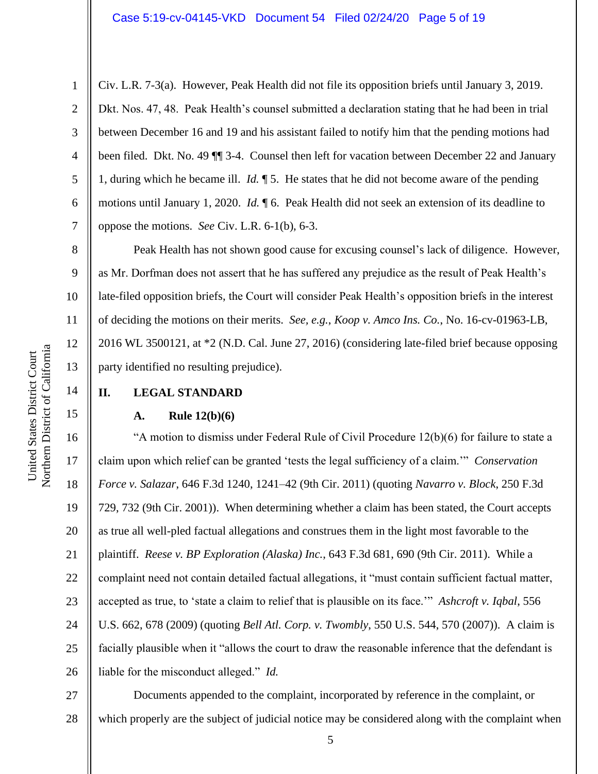Civ. L.R. 7-3(a). However, Peak Health did not file its opposition briefs until January 3, 2019. Dkt. Nos. 47, 48. Peak Health's counsel submitted a declaration stating that he had been in trial between December 16 and 19 and his assistant failed to notify him that the pending motions had been filed. Dkt. No. 49 ¶¶ 3-4. Counsel then left for vacation between December 22 and January 1, during which he became ill. *Id.* ¶ 5. He states that he did not become aware of the pending motions until January 1, 2020. *Id.* ¶ 6. Peak Health did not seek an extension of its deadline to oppose the motions. *See* Civ. L.R. 6-1(b), 6-3.

Peak Health has not shown good cause for excusing counsel's lack of diligence. However, as Mr. Dorfman does not assert that he has suffered any prejudice as the result of Peak Health's late-filed opposition briefs, the Court will consider Peak Health's opposition briefs in the interest of deciding the motions on their merits. *See, e.g.*, *Koop v. Amco Ins. Co.*, No. 16-cv-01963-LB, 2016 WL 3500121, at \*2 (N.D. Cal. June 27, 2016) (considering late-filed brief because opposing party identified no resulting prejudice).

# **II. LEGAL STANDARD**

### **A. Rule 12(b)(6)**

16 17 18 19 20 21 22 23 24 25 26 "A motion to dismiss under Federal Rule of Civil Procedure 12(b)(6) for failure to state a claim upon which relief can be granted 'tests the legal sufficiency of a claim.'" *Conservation Force v. Salazar*, 646 F.3d 1240, 1241–42 (9th Cir. 2011) (quoting *Navarro v. Block*, 250 F.3d 729, 732 (9th Cir. 2001)). When determining whether a claim has been stated, the Court accepts as true all well-pled factual allegations and construes them in the light most favorable to the plaintiff. *Reese v. BP Exploration (Alaska) Inc.*, 643 F.3d 681, 690 (9th Cir. 2011). While a complaint need not contain detailed factual allegations, it "must contain sufficient factual matter, accepted as true, to 'state a claim to relief that is plausible on its face.'" *Ashcroft v. Iqbal*, 556 U.S. 662, 678 (2009) (quoting *Bell Atl. Corp. v. Twombly*, 550 U.S. 544, 570 (2007)). A claim is facially plausible when it "allows the court to draw the reasonable inference that the defendant is liable for the misconduct alleged." *Id.*

27 28 Documents appended to the complaint, incorporated by reference in the complaint, or which properly are the subject of judicial notice may be considered along with the complaint when

1

2

3

4

5

6

7

8

9

10

11

12

13

14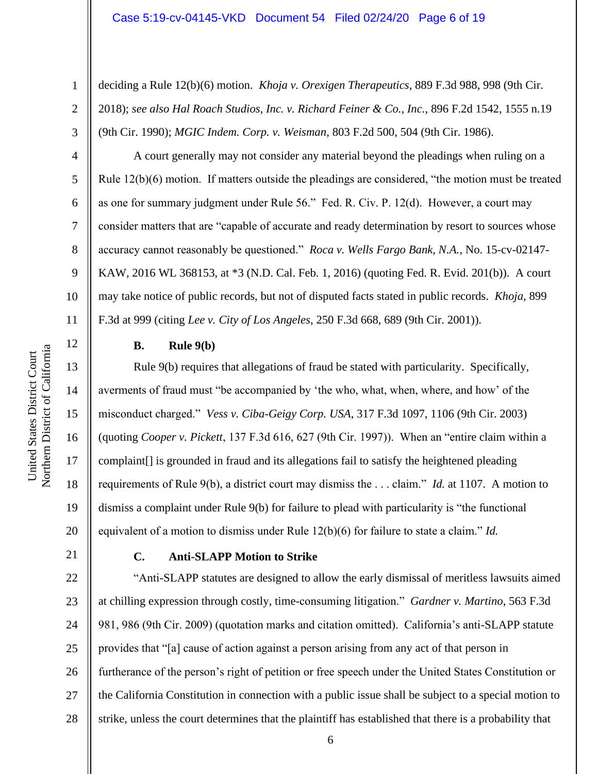deciding a Rule 12(b)(6) motion. *Khoja v. Orexigen Therapeutics*, 889 F.3d 988, 998 (9th Cir. 2018); *see also Hal Roach Studios, Inc. v. Richard Feiner & Co., Inc.*, 896 F.2d 1542, 1555 n.19 (9th Cir. 1990); *MGIC Indem. Corp. v. Weisman*, 803 F.2d 500, 504 (9th Cir. 1986).

A court generally may not consider any material beyond the pleadings when ruling on a Rule 12(b)(6) motion. If matters outside the pleadings are considered, "the motion must be treated as one for summary judgment under Rule 56." Fed. R. Civ. P. 12(d). However, a court may consider matters that are "capable of accurate and ready determination by resort to sources whose accuracy cannot reasonably be questioned." *Roca v. Wells Fargo Bank, N.A.*, No. 15-cv-02147- KAW, 2016 WL 368153, at \*3 (N.D. Cal. Feb. 1, 2016) (quoting Fed. R. Evid. 201(b)). A court may take notice of public records, but not of disputed facts stated in public records. *Khoja*, 899 F.3d at 999 (citing *Lee v. City of Los Angeles*, 250 F.3d 668, 689 (9th Cir. 2001)).

# **B. Rule 9(b)**

Rule 9(b) requires that allegations of fraud be stated with particularity. Specifically, averments of fraud must "be accompanied by 'the who, what, when, where, and how' of the misconduct charged." *Vess v. Ciba-Geigy Corp. USA*, 317 F.3d 1097, 1106 (9th Cir. 2003) (quoting *Cooper v. Pickett*, 137 F.3d 616, 627 (9th Cir. 1997)). When an "entire claim within a complaint[] is grounded in fraud and its allegations fail to satisfy the heightened pleading requirements of Rule 9(b), a district court may dismiss the . . . claim." *Id.* at 1107. A motion to dismiss a complaint under Rule 9(b) for failure to plead with particularity is "the functional equivalent of a motion to dismiss under Rule 12(b)(6) for failure to state a claim." *Id.*

21

1

2

3

4

5

6

7

8

9

10

11

12

13

14

15

16

17

18

19

20

# **C. Anti-SLAPP Motion to Strike**

22 23 24 25 26 27 28 "Anti-SLAPP statutes are designed to allow the early dismissal of meritless lawsuits aimed at chilling expression through costly, time-consuming litigation." *Gardner v. Martino*, 563 F.3d 981, 986 (9th Cir. 2009) (quotation marks and citation omitted). California's anti-SLAPP statute provides that "[a] cause of action against a person arising from any act of that person in furtherance of the person's right of petition or free speech under the United States Constitution or the California Constitution in connection with a public issue shall be subject to a special motion to strike, unless the court determines that the plaintiff has established that there is a probability that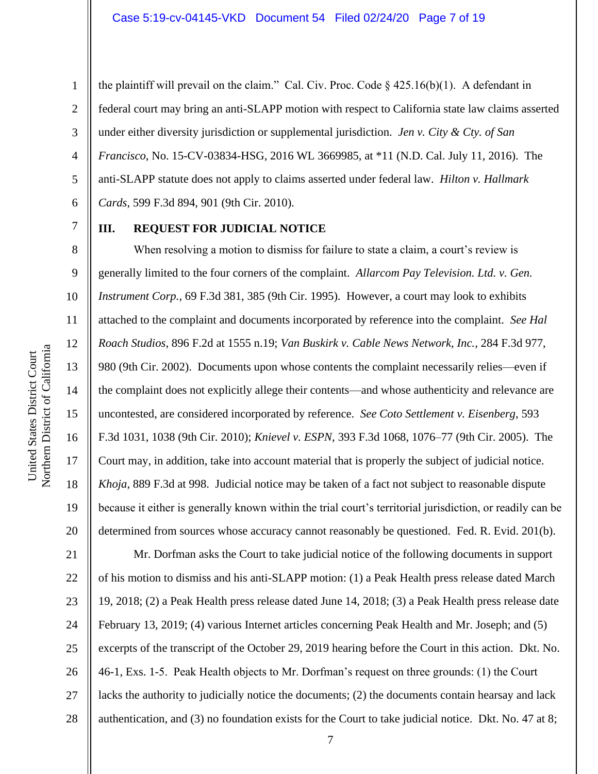the plaintiff will prevail on the claim." Cal. Civ. Proc. Code  $\S$  425.16(b)(1). A defendant in federal court may bring an anti-SLAPP motion with respect to California state law claims asserted under either diversity jurisdiction or supplemental jurisdiction. *Jen v. City & Cty. of San Francisco*, No. 15-CV-03834-HSG, 2016 WL 3669985, at \*11 (N.D. Cal. July 11, 2016). The anti-SLAPP statute does not apply to claims asserted under federal law. *Hilton v. Hallmark Cards*, 599 F.3d 894, 901 (9th Cir. 2010).

7 8

9

10

11

12

13

14

15

16

17

18

19

20

1

2

3

4

5

6

# **III. REQUEST FOR JUDICIAL NOTICE**

When resolving a motion to dismiss for failure to state a claim, a court's review is generally limited to the four corners of the complaint. *Allarcom Pay Television. Ltd. v. Gen. Instrument Corp.*, 69 F.3d 381, 385 (9th Cir. 1995). However, a court may look to exhibits attached to the complaint and documents incorporated by reference into the complaint. *See Hal Roach Studios*, 896 F.2d at 1555 n.19; *Van Buskirk v. Cable News Network, Inc.*, 284 F.3d 977, 980 (9th Cir. 2002). Documents upon whose contents the complaint necessarily relies—even if the complaint does not explicitly allege their contents—and whose authenticity and relevance are uncontested, are considered incorporated by reference. *See Coto Settlement v. Eisenberg*, 593 F.3d 1031, 1038 (9th Cir. 2010); *Knievel v. ESPN*, 393 F.3d 1068, 1076–77 (9th Cir. 2005). The Court may, in addition, take into account material that is properly the subject of judicial notice. *Khoja*, 889 F.3d at 998. Judicial notice may be taken of a fact not subject to reasonable dispute because it either is generally known within the trial court's territorial jurisdiction, or readily can be determined from sources whose accuracy cannot reasonably be questioned. Fed. R. Evid. 201(b).

21 22 23 24 25 26 27 28 Mr. Dorfman asks the Court to take judicial notice of the following documents in support of his motion to dismiss and his anti-SLAPP motion: (1) a Peak Health press release dated March 19, 2018; (2) a Peak Health press release dated June 14, 2018; (3) a Peak Health press release date February 13, 2019; (4) various Internet articles concerning Peak Health and Mr. Joseph; and (5) excerpts of the transcript of the October 29, 2019 hearing before the Court in this action. Dkt. No. 46-1, Exs. 1-5. Peak Health objects to Mr. Dorfman's request on three grounds: (1) the Court lacks the authority to judicially notice the documents; (2) the documents contain hearsay and lack authentication, and (3) no foundation exists for the Court to take judicial notice. Dkt. No. 47 at 8;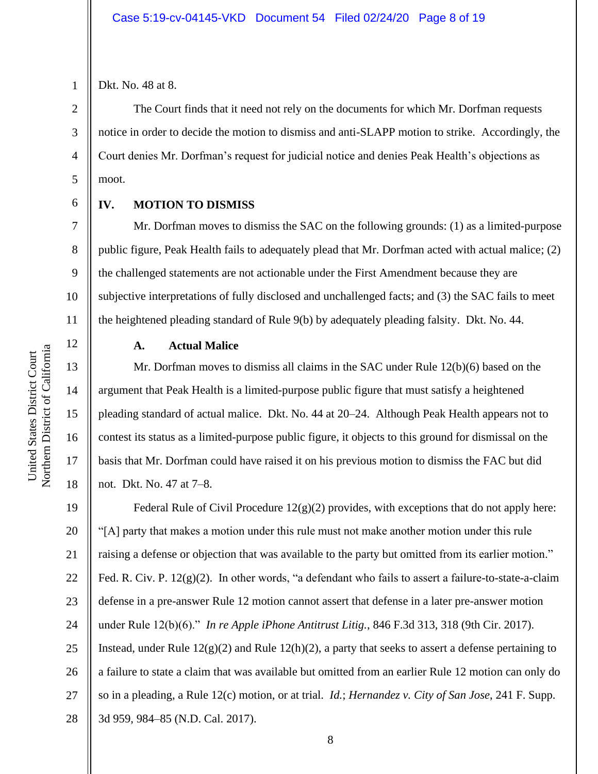3

4

5

6

7

8

9

10

11

12

13

14

15

16

17

18

Dkt. No. 48 at 8.

The Court finds that it need not rely on the documents for which Mr. Dorfman requests notice in order to decide the motion to dismiss and anti-SLAPP motion to strike. Accordingly, the Court denies Mr. Dorfman's request for judicial notice and denies Peak Health's objections as moot.

## **IV. MOTION TO DISMISS**

Mr. Dorfman moves to dismiss the SAC on the following grounds: (1) as a limited-purpose public figure, Peak Health fails to adequately plead that Mr. Dorfman acted with actual malice; (2) the challenged statements are not actionable under the First Amendment because they are subjective interpretations of fully disclosed and unchallenged facts; and (3) the SAC fails to meet the heightened pleading standard of Rule 9(b) by adequately pleading falsity. Dkt. No. 44.

Northern District of California Northern District of California United States District Court United States District Court

# **A. Actual Malice**

Mr. Dorfman moves to dismiss all claims in the SAC under Rule 12(b)(6) based on the argument that Peak Health is a limited-purpose public figure that must satisfy a heightened pleading standard of actual malice. Dkt. No. 44 at 20–24. Although Peak Health appears not to contest its status as a limited-purpose public figure, it objects to this ground for dismissal on the basis that Mr. Dorfman could have raised it on his previous motion to dismiss the FAC but did not. Dkt. No. 47 at 7–8.

19 20 21 22 23 24 25 26 27 28 Federal Rule of Civil Procedure  $12(g)(2)$  provides, with exceptions that do not apply here: "[A] party that makes a motion under this rule must not make another motion under this rule raising a defense or objection that was available to the party but omitted from its earlier motion." Fed. R. Civ. P. 12(g)(2). In other words, "a defendant who fails to assert a failure-to-state-a-claim defense in a pre-answer Rule 12 motion cannot assert that defense in a later pre-answer motion under Rule 12(b)(6)." *In re Apple iPhone Antitrust Litig.*, 846 F.3d 313, 318 (9th Cir. 2017). Instead, under Rule  $12(g)(2)$  and Rule  $12(h)(2)$ , a party that seeks to assert a defense pertaining to a failure to state a claim that was available but omitted from an earlier Rule 12 motion can only do so in a pleading, a Rule 12(c) motion, or at trial. *Id.*; *Hernandez v. City of San Jose*, 241 F. Supp. 3d 959, 984–85 (N.D. Cal. 2017).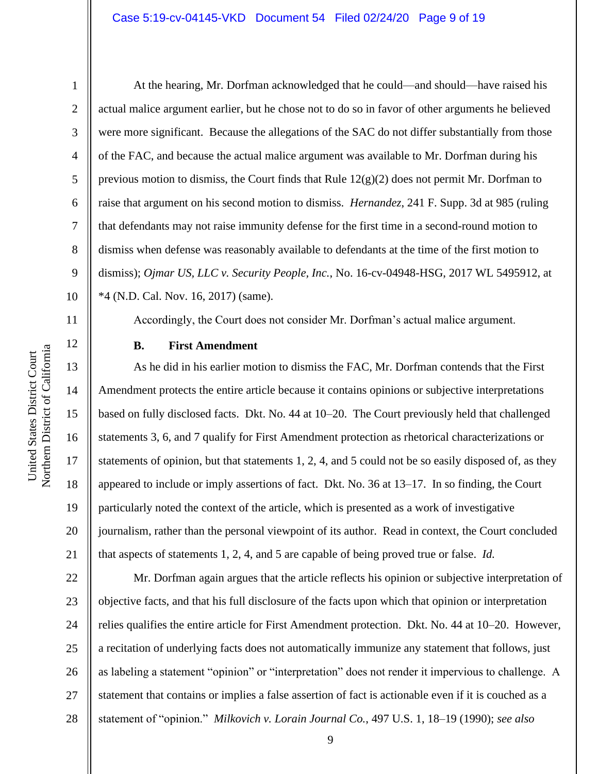2

3

4

5

6

7

8

9

10

11

12

13

14

15

16

17

18

19

20

21

At the hearing, Mr. Dorfman acknowledged that he could—and should—have raised his actual malice argument earlier, but he chose not to do so in favor of other arguments he believed were more significant. Because the allegations of the SAC do not differ substantially from those of the FAC, and because the actual malice argument was available to Mr. Dorfman during his previous motion to dismiss, the Court finds that Rule  $12(g)(2)$  does not permit Mr. Dorfman to raise that argument on his second motion to dismiss. *Hernandez*, 241 F. Supp. 3d at 985 (ruling that defendants may not raise immunity defense for the first time in a second-round motion to dismiss when defense was reasonably available to defendants at the time of the first motion to dismiss); *Ojmar US, LLC v. Security People, Inc.*, No. 16-cv-04948-HSG, 2017 WL 5495912, at \*4 (N.D. Cal. Nov. 16, 2017) (same).

Accordingly, the Court does not consider Mr. Dorfman's actual malice argument.

## **B. First Amendment**

As he did in his earlier motion to dismiss the FAC, Mr. Dorfman contends that the First Amendment protects the entire article because it contains opinions or subjective interpretations based on fully disclosed facts. Dkt. No. 44 at 10–20. The Court previously held that challenged statements 3, 6, and 7 qualify for First Amendment protection as rhetorical characterizations or statements of opinion, but that statements 1, 2, 4, and 5 could not be so easily disposed of, as they appeared to include or imply assertions of fact. Dkt. No. 36 at 13–17. In so finding, the Court particularly noted the context of the article, which is presented as a work of investigative journalism, rather than the personal viewpoint of its author. Read in context, the Court concluded that aspects of statements 1, 2, 4, and 5 are capable of being proved true or false. *Id.*

22 23 24 25 26 27 Mr. Dorfman again argues that the article reflects his opinion or subjective interpretation of objective facts, and that his full disclosure of the facts upon which that opinion or interpretation relies qualifies the entire article for First Amendment protection. Dkt. No. 44 at 10–20. However, a recitation of underlying facts does not automatically immunize any statement that follows, just as labeling a statement "opinion" or "interpretation" does not render it impervious to challenge. A statement that contains or implies a false assertion of fact is actionable even if it is couched as a statement of "opinion." *Milkovich v. Lorain Journal Co.*, 497 U.S. 1, 18–19 (1990); *see also*

9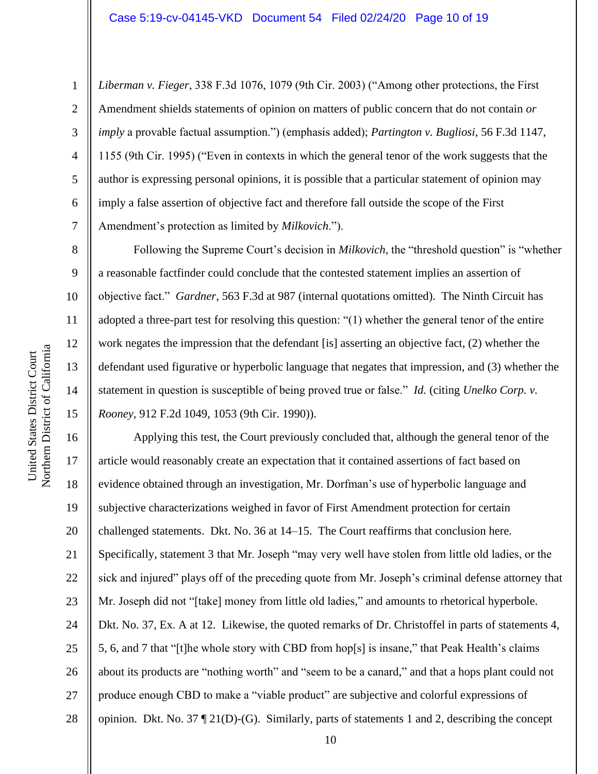*Liberman v. Fieger*, 338 F.3d 1076, 1079 (9th Cir. 2003) ("Among other protections, the First Amendment shields statements of opinion on matters of public concern that do not contain *or imply* a provable factual assumption.") (emphasis added); *Partington v. Bugliosi*, 56 F.3d 1147, 1155 (9th Cir. 1995) ("Even in contexts in which the general tenor of the work suggests that the author is expressing personal opinions, it is possible that a particular statement of opinion may imply a false assertion of objective fact and therefore fall outside the scope of the First Amendment's protection as limited by *Milkovich*.").

Following the Supreme Court's decision in *Milkovich*, the "threshold question" is "whether a reasonable factfinder could conclude that the contested statement implies an assertion of objective fact." *Gardner*, 563 F.3d at 987 (internal quotations omitted). The Ninth Circuit has adopted a three-part test for resolving this question: "(1) whether the general tenor of the entire work negates the impression that the defendant [is] asserting an objective fact, (2) whether the defendant used figurative or hyperbolic language that negates that impression, and (3) whether the statement in question is susceptible of being proved true or false." *Id.* (citing *Unelko Corp. v. Rooney*, 912 F.2d 1049, 1053 (9th Cir. 1990)).

16 17 18 19 20 21 22 23 24 25 26 27 28 Applying this test, the Court previously concluded that, although the general tenor of the article would reasonably create an expectation that it contained assertions of fact based on evidence obtained through an investigation, Mr. Dorfman's use of hyperbolic language and subjective characterizations weighed in favor of First Amendment protection for certain challenged statements. Dkt. No. 36 at 14–15. The Court reaffirms that conclusion here. Specifically, statement 3 that Mr. Joseph "may very well have stolen from little old ladies, or the sick and injured" plays off of the preceding quote from Mr. Joseph's criminal defense attorney that Mr. Joseph did not "[take] money from little old ladies," and amounts to rhetorical hyperbole. Dkt. No. 37, Ex. A at 12. Likewise, the quoted remarks of Dr. Christoffel in parts of statements 4, 5, 6, and 7 that "[t]he whole story with CBD from hop[s] is insane," that Peak Health's claims about its products are "nothing worth" and "seem to be a canard," and that a hops plant could not produce enough CBD to make a "viable product" are subjective and colorful expressions of opinion.Dkt. No. 37 ¶ 21(D)-(G).Similarly, parts of statements 1 and 2, describing the concept

1

2

3

4

5

6

7

8

9

10

11

12

13

14

15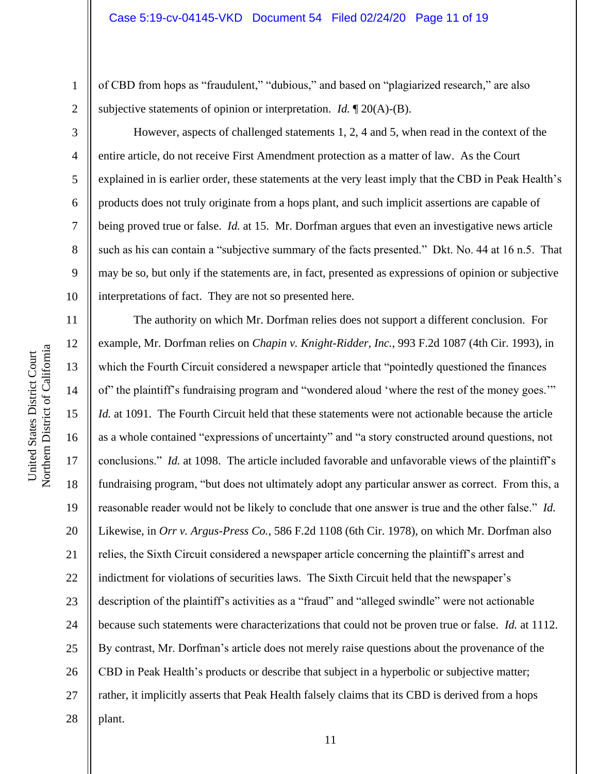of CBD from hops as "fraudulent," "dubious," and based on "plagiarized research," are also subjective statements of opinion or interpretation. *Id.* ¶ 20(A)-(B).

However, aspects of challenged statements 1, 2, 4 and 5, when read in the context of the entire article, do not receive First Amendment protection as a matter of law. As the Court explained in is earlier order, these statements at the very least imply that the CBD in Peak Health's products does not truly originate from a hops plant, and such implicit assertions are capable of being proved true or false. *Id.* at 15. Mr. Dorfman argues that even an investigative news article such as his can contain a "subjective summary of the facts presented." Dkt. No. 44 at 16 n.5. That may be so, but only if the statements are, in fact, presented as expressions of opinion or subjective interpretations of fact. They are not so presented here.

11 12 13 14 15 16 17 18 19 20 21 22 23 24 25 26 27 28 The authority on which Mr. Dorfman relies does not support a different conclusion. For example, Mr. Dorfman relies on *Chapin v. Knight-Ridder, Inc.*, 993 F.2d 1087 (4th Cir. 1993), in which the Fourth Circuit considered a newspaper article that "pointedly questioned the finances of" the plaintiff's fundraising program and "wondered aloud 'where the rest of the money goes.'" *Id.* at 1091. The Fourth Circuit held that these statements were not actionable because the article as a whole contained "expressions of uncertainty" and "a story constructed around questions, not conclusions." *Id.* at 1098. The article included favorable and unfavorable views of the plaintiff's fundraising program, "but does not ultimately adopt any particular answer as correct. From this, a reasonable reader would not be likely to conclude that one answer is true and the other false." *Id.* Likewise, in *Orr v. Argus-Press Co.*, 586 F.2d 1108 (6th Cir. 1978), on which Mr. Dorfman also relies, the Sixth Circuit considered a newspaper article concerning the plaintiff's arrest and indictment for violations of securities laws. The Sixth Circuit held that the newspaper's description of the plaintiff's activities as a "fraud" and "alleged swindle" were not actionable because such statements were characterizations that could not be proven true or false. *Id.* at 1112. By contrast, Mr. Dorfman's article does not merely raise questions about the provenance of the CBD in Peak Health's products or describe that subject in a hyperbolic or subjective matter; rather, it implicitly asserts that Peak Health falsely claims that its CBD is derived from a hops plant.

1

2

3

4

5

6

7

8

9

10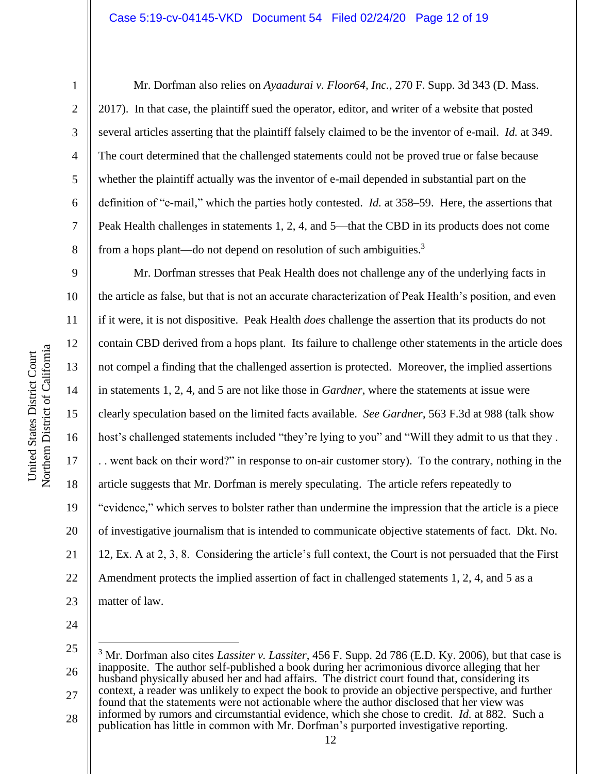2

3

4

5

6

7

8

9

11

13

14

15

17

18

19

21

Mr. Dorfman also relies on *Ayaadurai v. Floor64, Inc.*, 270 F. Supp. 3d 343 (D. Mass. 2017). In that case, the plaintiff sued the operator, editor, and writer of a website that posted several articles asserting that the plaintiff falsely claimed to be the inventor of e-mail. *Id.* at 349. The court determined that the challenged statements could not be proved true or false because whether the plaintiff actually was the inventor of e-mail depended in substantial part on the definition of "e-mail," which the parties hotly contested. *Id.* at 358–59.Here, the assertions that Peak Health challenges in statements 1, 2, 4, and 5—that the CBD in its products does not come from a hops plant—do not depend on resolution of such ambiguities.<sup>3</sup>

10 12 16 20 22 23 Mr. Dorfman stresses that Peak Health does not challenge any of the underlying facts in the article as false, but that is not an accurate characterization of Peak Health's position, and even if it were, it is not dispositive. Peak Health *does* challenge the assertion that its products do not contain CBD derived from a hops plant. Its failure to challenge other statements in the article does not compel a finding that the challenged assertion is protected. Moreover, the implied assertions in statements 1, 2, 4, and 5 are not like those in *Gardner*, where the statements at issue were clearly speculation based on the limited facts available. *See Gardner*, 563 F.3d at 988 (talk show host's challenged statements included "they're lying to you" and "Will they admit to us that they . . . went back on their word?" in response to on-air customer story). To the contrary, nothing in the article suggests that Mr. Dorfman is merely speculating. The article refers repeatedly to "evidence," which serves to bolster rather than undermine the impression that the article is a piece of investigative journalism that is intended to communicate objective statements of fact. Dkt. No. 12, Ex. A at 2, 3, 8. Considering the article's full context, the Court is not persuaded that the First Amendment protects the implied assertion of fact in challenged statements 1, 2, 4, and 5 as a matter of law.

<sup>25</sup> 26 27 <sup>3</sup> Mr. Dorfman also cites *Lassiter v. Lassiter*, 456 F. Supp. 2d 786 (E.D. Ky. 2006), but that case is inapposite. The author self-published a book during her acrimonious divorce alleging that her husband physically abused her and had affairs. The district court found that, considering its context, a reader was unlikely to expect the book to provide an objective perspective, and further found that the statements were not actionable where the author disclosed that her view was informed by rumors and circumstantial evidence, which she chose to credit. *Id.* at 882. Such a

<sup>28</sup> publication has little in common with Mr. Dorfman's purported investigative reporting.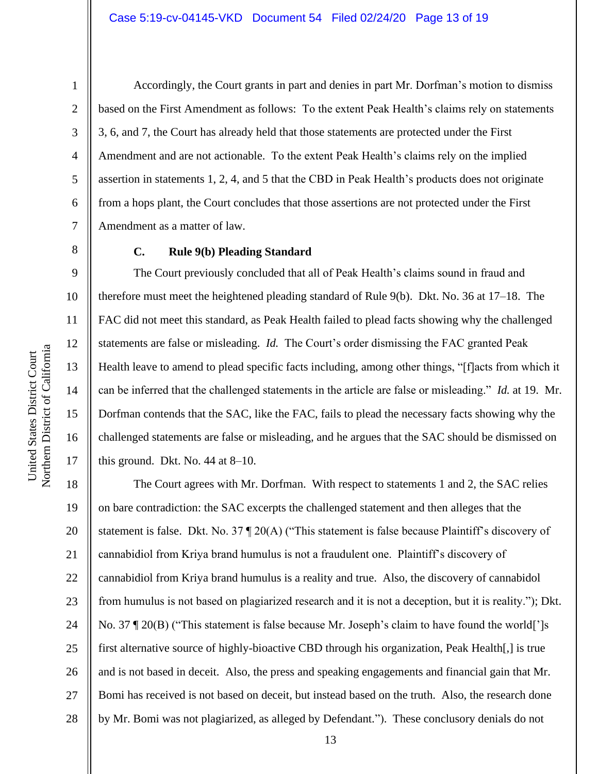2

3

4

5

6

7

8

9

10

11

12

13

14

15

United States District Court

United States District Court

16

17

Accordingly, the Court grants in part and denies in part Mr. Dorfman's motion to dismiss based on the First Amendment as follows: To the extent Peak Health's claims rely on statements 3, 6, and 7, the Court has already held that those statements are protected under the First Amendment and are not actionable. To the extent Peak Health's claims rely on the implied assertion in statements 1, 2, 4, and 5 that the CBD in Peak Health's products does not originate from a hops plant, the Court concludes that those assertions are not protected under the First Amendment as a matter of law.

# **C. Rule 9(b) Pleading Standard**

The Court previously concluded that all of Peak Health's claims sound in fraud and therefore must meet the heightened pleading standard of Rule 9(b). Dkt. No. 36 at 17–18. The FAC did not meet this standard, as Peak Health failed to plead facts showing why the challenged statements are false or misleading. *Id.* The Court's order dismissing the FAC granted Peak Health leave to amend to plead specific facts including, among other things, "[f]acts from which it can be inferred that the challenged statements in the article are false or misleading." *Id.* at 19.Mr. Dorfman contends that the SAC, like the FAC, fails to plead the necessary facts showing why the challenged statements are false or misleading, and he argues that the SAC should be dismissed on this ground. Dkt. No. 44 at 8–10.

18 19 20 21 22 23 24 25 26 27 28 The Court agrees with Mr. Dorfman. With respect to statements 1 and 2, the SAC relies on bare contradiction: the SAC excerpts the challenged statement and then alleges that the statement is false. Dkt. No. 37 ¶ 20(A) ("This statement is false because Plaintiff's discovery of cannabidiol from Kriya brand humulus is not a fraudulent one. Plaintiff's discovery of cannabidiol from Kriya brand humulus is a reality and true. Also, the discovery of cannabidol from humulus is not based on plagiarized research and it is not a deception, but it is reality."); Dkt. No. 37 ¶ 20(B) ("This statement is false because Mr. Joseph's claim to have found the world[']s first alternative source of highly-bioactive CBD through his organization, Peak Health[,] is true and is not based in deceit. Also, the press and speaking engagements and financial gain that Mr. Bomi has received is not based on deceit, but instead based on the truth. Also, the research done by Mr. Bomi was not plagiarized, as alleged by Defendant."). These conclusory denials do not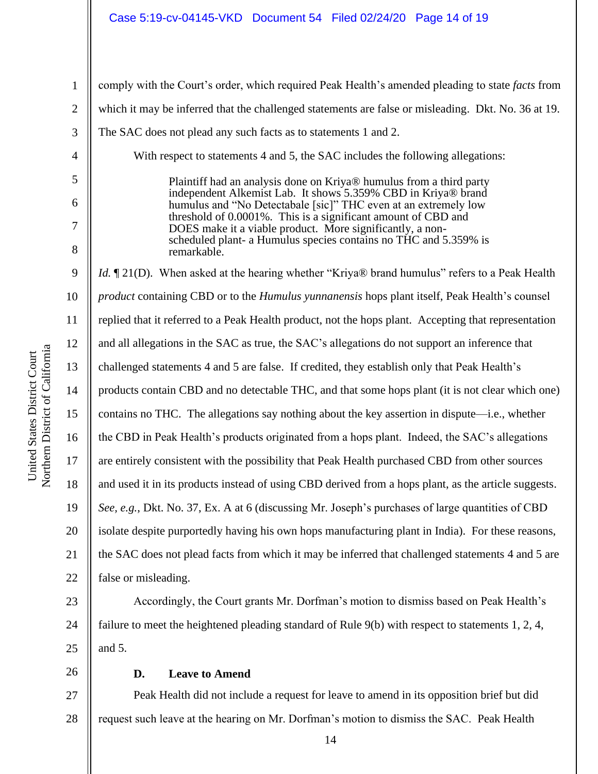### Case 5:19-cv-04145-VKD Document 54 Filed 02/24/20 Page 14 of 19

| Inited States District Court | <b>Jorthern District of California</b> |
|------------------------------|----------------------------------------|
|                              |                                        |
|                              |                                        |

1 2 3 4 5 6 7 8 9 10 11 12 13 14 15 16 17 18 19 20 21 22 23 comply with the Court's order, which required Peak Health's amended pleading to state *facts* from which it may be inferred that the challenged statements are false or misleading. Dkt. No. 36 at 19. The SAC does not plead any such facts as to statements 1 and 2. With respect to statements 4 and 5, the SAC includes the following allegations: Plaintiff had an analysis done on Kriya® humulus from a third party independent Alkemist Lab. It shows 5.359% CBD in Kriya® brand humulus and "No Detectabale [sic]" THC even at an extremely low threshold of 0.0001%. This is a significant amount of CBD and DOES make it a viable product. More significantly, a nonscheduled plant- a Humulus species contains no THC and 5.359% is remarkable. *Id.*  $\P$  21(D). When asked at the hearing whether "Kriya® brand humulus" refers to a Peak Health *product* containing CBD or to the *Humulus yunnanensis* hops plant itself, Peak Health's counsel replied that it referred to a Peak Health product, not the hops plant. Accepting that representation and all allegations in the SAC as true, the SAC's allegations do not support an inference that challenged statements 4 and 5 are false. If credited, they establish only that Peak Health's products contain CBD and no detectable THC, and that some hops plant (it is not clear which one) contains no THC. The allegations say nothing about the key assertion in dispute—i.e., whether the CBD in Peak Health's products originated from a hops plant. Indeed, the SAC's allegations are entirely consistent with the possibility that Peak Health purchased CBD from other sources and used it in its products instead of using CBD derived from a hops plant, as the article suggests. *See, e.g.*, Dkt. No. 37, Ex. A at 6 (discussing Mr. Joseph's purchases of large quantities of CBD isolate despite purportedly having his own hops manufacturing plant in India). For these reasons, the SAC does not plead facts from which it may be inferred that challenged statements 4 and 5 are false or misleading.

24 Accordingly, the Court grants Mr. Dorfman's motion to dismiss based on Peak Health's failure to meet the heightened pleading standard of Rule 9(b) with respect to statements 1, 2, 4, and 5.

25 26

### **D. Leave to Amend**

27 28 Peak Health did not include a request for leave to amend in its opposition brief but did request such leave at the hearing on Mr. Dorfman's motion to dismiss the SAC. Peak Health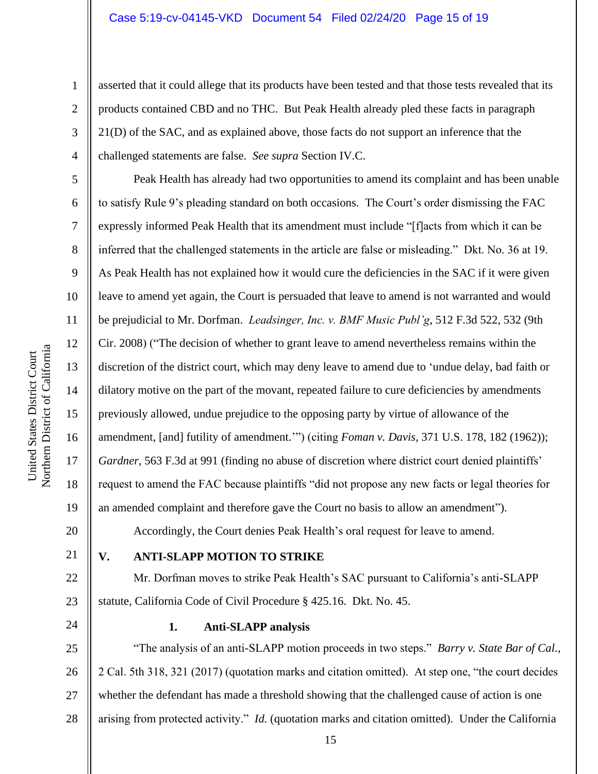asserted that it could allege that its products have been tested and that those tests revealed that its products contained CBD and no THC. But Peak Health already pled these facts in paragraph 21(D) of the SAC, and as explained above, those facts do not support an inference that the challenged statements are false. *See supra* Section IV.C.

Peak Health has already had two opportunities to amend its complaint and has been unable to satisfy Rule 9's pleading standard on both occasions. The Court's order dismissing the FAC expressly informed Peak Health that its amendment must include "[f]acts from which it can be inferred that the challenged statements in the article are false or misleading." Dkt. No. 36 at 19. As Peak Health has not explained how it would cure the deficiencies in the SAC if it were given leave to amend yet again, the Court is persuaded that leave to amend is not warranted and would be prejudicial to Mr. Dorfman. *Leadsinger, Inc. v. BMF Music Publ'g*, 512 F.3d 522, 532 (9th Cir. 2008) ("The decision of whether to grant leave to amend nevertheless remains within the discretion of the district court, which may deny leave to amend due to 'undue delay, bad faith or dilatory motive on the part of the movant, repeated failure to cure deficiencies by amendments previously allowed, undue prejudice to the opposing party by virtue of allowance of the amendment, [and] futility of amendment.'") (citing *Foman v. Davis*, 371 U.S. 178, 182 (1962)); *Gardner*, 563 F.3d at 991 (finding no abuse of discretion where district court denied plaintiffs' request to amend the FAC because plaintiffs "did not propose any new facts or legal theories for an amended complaint and therefore gave the Court no basis to allow an amendment"). Accordingly, the Court denies Peak Health's oral request for leave to amend.

21

22

23

1

2

3

4

5

6

7

8

9

10

11

12

13

14

15

16

17

18

19

20

# **V. ANTI-SLAPP MOTION TO STRIKE**

Mr. Dorfman moves to strike Peak Health's SAC pursuant to California's anti-SLAPP statute, California Code of Civil Procedure § 425.16. Dkt. No. 45.

24

# **1. Anti-SLAPP analysis**

25 26 27 28 "The analysis of an anti-SLAPP motion proceeds in two steps." *Barry v. State Bar of Cal.*, 2 Cal. 5th 318, 321 (2017) (quotation marks and citation omitted). At step one, "the court decides whether the defendant has made a threshold showing that the challenged cause of action is one arising from protected activity." *Id.* (quotation marks and citation omitted). Under the California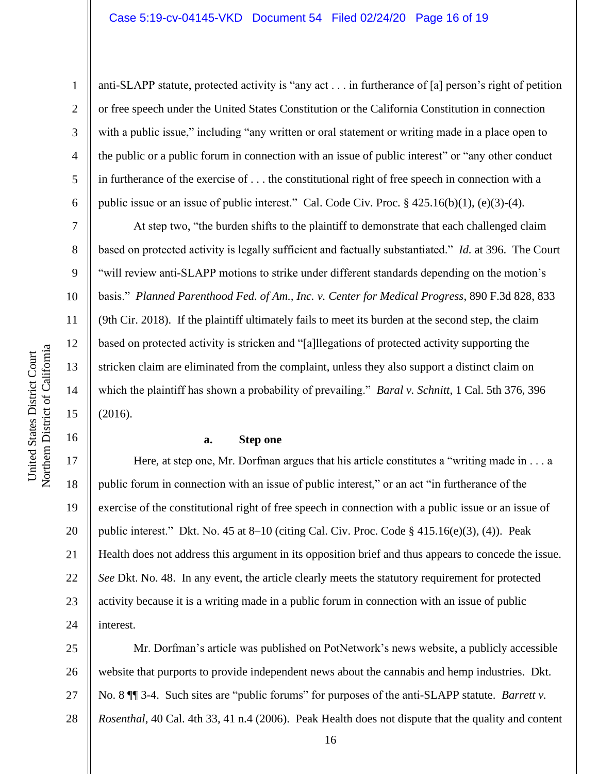anti-SLAPP statute, protected activity is "any act . . . in furtherance of [a] person's right of petition or free speech under the United States Constitution or the California Constitution in connection with a public issue," including "any written or oral statement or writing made in a place open to the public or a public forum in connection with an issue of public interest" or "any other conduct in furtherance of the exercise of . . . the constitutional right of free speech in connection with a public issue or an issue of public interest." Cal. Code Civ. Proc. § 425.16(b)(1), (e)(3)-(4).

At step two, "the burden shifts to the plaintiff to demonstrate that each challenged claim based on protected activity is legally sufficient and factually substantiated." *Id.* at 396. The Court "will review anti-SLAPP motions to strike under different standards depending on the motion's basis." *Planned Parenthood Fed. of Am., Inc. v. Center for Medical Progress*, 890 F.3d 828, 833 (9th Cir. 2018). If the plaintiff ultimately fails to meet its burden at the second step, the claim based on protected activity is stricken and "[a]llegations of protected activity supporting the stricken claim are eliminated from the complaint, unless they also support a distinct claim on which the plaintiff has shown a probability of prevailing." *Baral v. Schnitt*, 1 Cal. 5th 376, 396 (2016).

### **a. Step one**

20 22 24 Here, at step one, Mr. Dorfman argues that his article constitutes a "writing made in . . . a public forum in connection with an issue of public interest," or an act "in furtherance of the exercise of the constitutional right of free speech in connection with a public issue or an issue of public interest." Dkt. No. 45 at 8–10 (citing Cal. Civ. Proc. Code § 415.16(e)(3), (4)). Peak Health does not address this argument in its opposition brief and thus appears to concede the issue. *See* Dkt. No. 48. In any event, the article clearly meets the statutory requirement for protected activity because it is a writing made in a public forum in connection with an issue of public interest.

25 26 27 28 Mr. Dorfman's article was published on PotNetwork's news website, a publicly accessible website that purports to provide independent news about the cannabis and hemp industries. Dkt. No. 8 ¶¶ 3-4. Such sites are "public forums" for purposes of the anti-SLAPP statute. *Barrett v. Rosenthal*, 40 Cal. 4th 33, 41 n.4 (2006). Peak Health does not dispute that the quality and content

8

9

10

11

12

13

14

15

16

17

18

19

21

23

1 2 3 4 5 6 7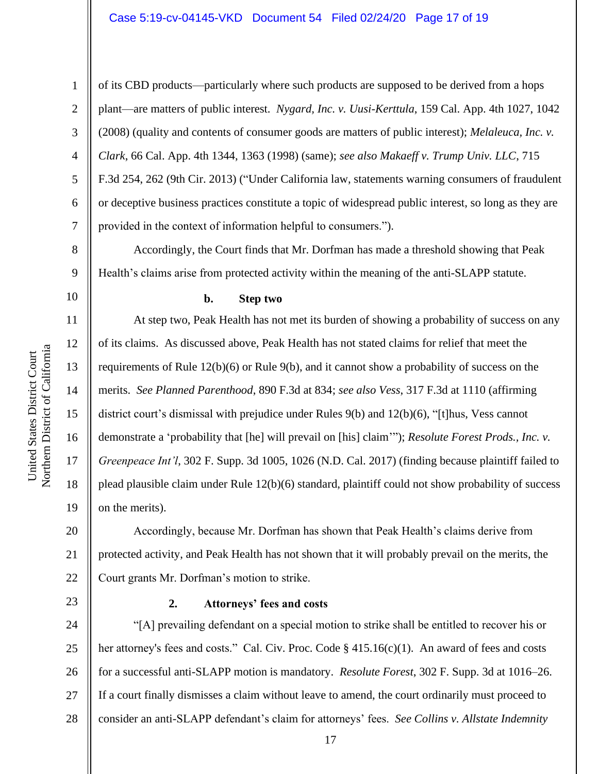### Case 5:19-cv-04145-VKD Document 54 Filed 02/24/20 Page 17 of 19

1

2

3

4

5

6

7

8

9

10

11

12

13

14

15

16

17

18

19

of its CBD products—particularly where such products are supposed to be derived from a hops plant—are matters of public interest. *Nygard, Inc. v. Uusi-Kerttula*, 159 Cal. App. 4th 1027, 1042 (2008) (quality and contents of consumer goods are matters of public interest); *Melaleuca, Inc. v. Clark*, 66 Cal. App. 4th 1344, 1363 (1998) (same); *see also Makaeff v. Trump Univ. LLC*, 715 F.3d 254, 262 (9th Cir. 2013) ("Under California law, statements warning consumers of fraudulent or deceptive business practices constitute a topic of widespread public interest, so long as they are provided in the context of information helpful to consumers.").

Accordingly, the Court finds that Mr. Dorfman has made a threshold showing that Peak Health's claims arise from protected activity within the meaning of the anti-SLAPP statute.

**b. Step two**

At step two, Peak Health has not met its burden of showing a probability of success on any of its claims. As discussed above, Peak Health has not stated claims for relief that meet the requirements of Rule 12(b)(6) or Rule 9(b), and it cannot show a probability of success on the merits. *See Planned Parenthood*, 890 F.3d at 834; *see also Vess*, 317 F.3d at 1110 (affirming district court's dismissal with prejudice under Rules 9(b) and 12(b)(6), "[t]hus, Vess cannot demonstrate a 'probability that [he] will prevail on [his] claim'"); *Resolute Forest Prods., Inc. v. Greenpeace Int'l*, 302 F. Supp. 3d 1005, 1026 (N.D. Cal. 2017) (finding because plaintiff failed to plead plausible claim under Rule 12(b)(6) standard, plaintiff could not show probability of success on the merits).

20 21 22 Accordingly, because Mr. Dorfman has shown that Peak Health's claims derive from protected activity, and Peak Health has not shown that it will probably prevail on the merits, the Court grants Mr. Dorfman's motion to strike.

23

# **2. Attorneys' fees and costs**

24 25 26 27 28 "[A] prevailing defendant on a special motion to strike shall be entitled to recover his or her attorney's fees and costs." Cal. Civ. Proc. Code § 415.16(c)(1). An award of fees and costs for a successful anti-SLAPP motion is mandatory. *Resolute Forest*, 302 F. Supp. 3d at 1016–26. If a court finally dismisses a claim without leave to amend, the court ordinarily must proceed to consider an anti-SLAPP defendant's claim for attorneys' fees. *See Collins v. Allstate Indemnity*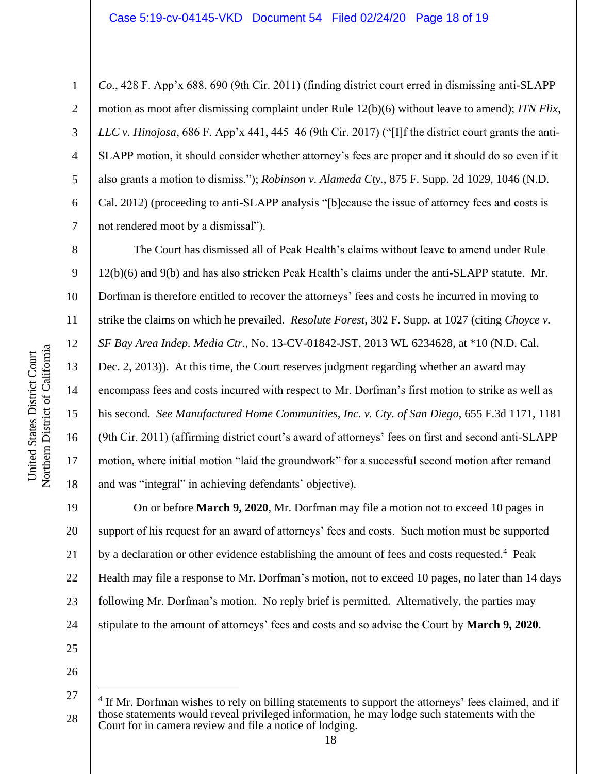*Co.*, 428 F. App'x 688, 690 (9th Cir. 2011) (finding district court erred in dismissing anti-SLAPP motion as moot after dismissing complaint under Rule 12(b)(6) without leave to amend); *ITN Flix, LLC v. Hinojosa*, 686 F. App'x 441, 445–46 (9th Cir. 2017) ("[I]f the district court grants the anti-SLAPP motion, it should consider whether attorney's fees are proper and it should do so even if it also grants a motion to dismiss."); *Robinson v. Alameda Cty.*, 875 F. Supp. 2d 1029, 1046 (N.D. Cal. 2012) (proceeding to anti-SLAPP analysis "[b]ecause the issue of attorney fees and costs is not rendered moot by a dismissal").

The Court has dismissed all of Peak Health's claims without leave to amend under Rule 12(b)(6) and 9(b) and has also stricken Peak Health's claims under the anti-SLAPP statute. Mr. Dorfman is therefore entitled to recover the attorneys' fees and costs he incurred in moving to strike the claims on which he prevailed. *Resolute Forest*, 302 F. Supp. at 1027 (citing *Choyce v. SF Bay Area Indep. Media Ctr.*, No. 13-CV-01842-JST, 2013 WL 6234628, at \*10 (N.D. Cal. Dec. 2, 2013)). At this time, the Court reserves judgment regarding whether an award may encompass fees and costs incurred with respect to Mr. Dorfman's first motion to strike as well as his second. *See Manufactured Home Communities, Inc. v. Cty. of San Diego*, 655 F.3d 1171, 1181 (9th Cir. 2011) (affirming district court's award of attorneys' fees on first and second anti-SLAPP motion, where initial motion "laid the groundwork" for a successful second motion after remand and was "integral" in achieving defendants' objective).

19 20 21 22 23 24 On or before **March 9, 2020**, Mr. Dorfman may file a motion not to exceed 10 pages in support of his request for an award of attorneys' fees and costs. Such motion must be supported by a declaration or other evidence establishing the amount of fees and costs requested.<sup>4</sup> Peak Health may file a response to Mr. Dorfman's motion, not to exceed 10 pages, no later than 14 days following Mr. Dorfman's motion. No reply brief is permitted. Alternatively, the parties may stipulate to the amount of attorneys' fees and costs and so advise the Court by **March 9, 2020**.

25 26

1

2

3

4

5

6

7

8

9

10

11

12

13

14

15

16

17

<sup>27</sup> 28 <sup>4</sup> If Mr. Dorfman wishes to rely on billing statements to support the attorneys' fees claimed, and if those statements would reveal privileged information, he may lodge such statements with the Court for in camera review and file a notice of lodging.